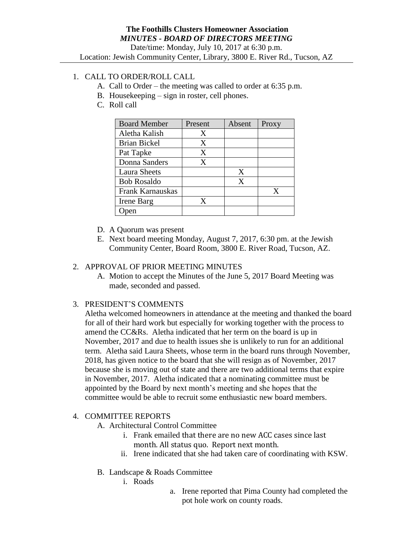# 1. CALL TO ORDER/ROLL CALL

- A. Call to Order the meeting was called to order at 6:35 p.m.
- B. Housekeeping sign in roster, cell phones.
- C. Roll call

| <b>Board Member</b> | Present | Absent | Proxy |
|---------------------|---------|--------|-------|
| Aletha Kalish       | Χ       |        |       |
| <b>Brian Bickel</b> | X       |        |       |
| Pat Tapke           | X       |        |       |
| Donna Sanders       | X       |        |       |
| <b>Laura Sheets</b> |         | X      |       |
| <b>Bob Rosaldo</b>  |         | X      |       |
| Frank Karnauskas    |         |        | X     |
| Irene Barg          | X       |        |       |
|                     |         |        |       |

- D. A Quorum was present
- E. Next board meeting Monday, August 7, 2017, 6:30 pm. at the Jewish Community Center, Board Room, 3800 E. River Road, Tucson, AZ.

## 2. APPROVAL OF PRIOR MEETING MINUTES

A. Motion to accept the Minutes of the June 5, 2017 Board Meeting was made, seconded and passed.

3. PRESIDENT'S COMMENTS

Aletha welcomed homeowners in attendance at the meeting and thanked the board for all of their hard work but especially for working together with the process to amend the CC&Rs. Aletha indicated that her term on the board is up in November, 2017 and due to health issues she is unlikely to run for an additional term. Aletha said Laura Sheets, whose term in the board runs through November, 2018, has given notice to the board that she will resign as of November, 2017 because she is moving out of state and there are two additional terms that expire in November, 2017. Aletha indicated that a nominating committee must be appointed by the Board by next month's meeting and she hopes that the committee would be able to recruit some enthusiastic new board members.

## 4. COMMITTEE REPORTS

- A. Architectural Control Committee
	- i. Frank emailed that there are no new ACC cases since last month. All status quo. Report next month.
	- ii. Irene indicated that she had taken care of coordinating with KSW.
- B. Landscape & Roads Committee
	- i. Roads
- a. Irene reported that Pima County had completed the pot hole work on county roads.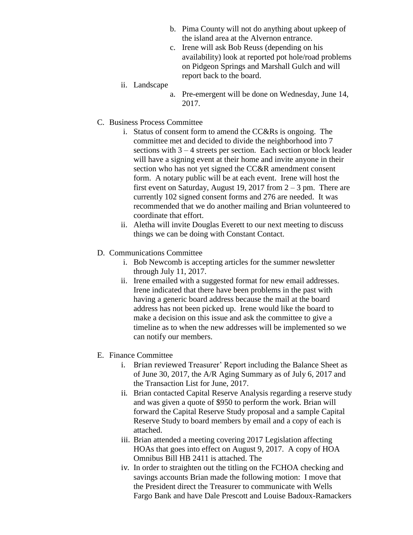- b. Pima County will not do anything about upkeep of the island area at the Alvernon entrance.
- c. Irene will ask Bob Reuss (depending on his availability) look at reported pot hole/road problems on Pidgeon Springs and Marshall Gulch and will report back to the board.
- ii. Landscape
	- a. Pre-emergent will be done on Wednesday, June 14, 2017.
- C. Business Process Committee
	- i. Status of consent form to amend the CC&Rs is ongoing. The committee met and decided to divide the neighborhood into 7 sections with 3 – 4 streets per section. Each section or block leader will have a signing event at their home and invite anyone in their section who has not yet signed the CC&R amendment consent form. A notary public will be at each event. Irene will host the first event on Saturday, August 19, 2017 from  $2 - 3$  pm. There are currently 102 signed consent forms and 276 are needed. It was recommended that we do another mailing and Brian volunteered to coordinate that effort.
	- ii. Aletha will invite Douglas Everett to our next meeting to discuss things we can be doing with Constant Contact.
- D. Communications Committee
	- i. Bob Newcomb is accepting articles for the summer newsletter through July 11, 2017.
	- ii. Irene emailed with a suggested format for new email addresses. Irene indicated that there have been problems in the past with having a generic board address because the mail at the board address has not been picked up. Irene would like the board to make a decision on this issue and ask the committee to give a timeline as to when the new addresses will be implemented so we can notify our members.
- E. Finance Committee
	- i. Brian reviewed Treasurer' Report including the Balance Sheet as of June 30, 2017, the A/R Aging Summary as of July 6, 2017 and the Transaction List for June, 2017.
	- ii. Brian contacted Capital Reserve Analysis regarding a reserve study and was given a quote of \$950 to perform the work. Brian will forward the Capital Reserve Study proposal and a sample Capital Reserve Study to board members by email and a copy of each is attached.
	- iii. Brian attended a meeting covering 2017 Legislation affecting HOAs that goes into effect on August 9, 2017. A copy of HOA Omnibus Bill HB 2411 is attached. The
	- iv. In order to straighten out the titling on the FCHOA checking and savings accounts Brian made the following motion: I move that the President direct the Treasurer to communicate with Wells Fargo Bank and have Dale Prescott and Louise Badoux-Ramackers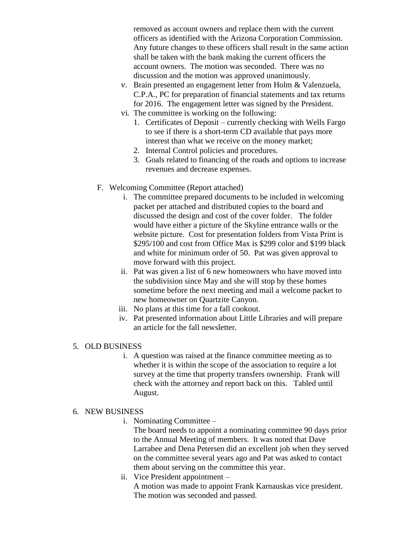removed as account owners and replace them with the current officers as identified with the Arizona Corporation Commission. Any future changes to these officers shall result in the same action shall be taken with the bank making the current officers the account owners. The motion was seconded. There was no discussion and the motion was approved unanimously.

- v. Brain presented an engagement letter from Holm & Valenzuela, C.P.A., PC for preparation of financial statements and tax returns for 2016. The engagement letter was signed by the President.
- vi. The committee is working on the following:
	- 1. Certificates of Deposit currently checking with Wells Fargo to see if there is a short-term CD available that pays more interest than what we receive on the money market;
	- 2. Internal Control policies and procedures.
	- 3. Goals related to financing of the roads and options to increase revenues and decrease expenses.
- F. Welcoming Committee (Report attached)
	- i. The committee prepared documents to be included in welcoming packet per attached and distributed copies to the board and discussed the design and cost of the cover folder. The folder would have either a picture of the Skyline entrance walls or the website picture. Cost for presentation folders from Vista Print is \$295/100 and cost from Office Max is \$299 color and \$199 black and white for minimum order of 50. Pat was given approval to move forward with this project.
	- ii. Pat was given a list of 6 new homeowners who have moved into the subdivision since May and she will stop by these homes sometime before the next meeting and mail a welcome packet to new homeowner on Quartzite Canyon.
	- iii. No plans at this time for a fall cookout.
	- iv. Pat presented information about Little Libraries and will prepare an article for the fall newsletter.

#### 5. OLD BUSINESS

i. A question was raised at the finance committee meeting as to whether it is within the scope of the association to require a lot survey at the time that property transfers ownership. Frank will check with the attorney and report back on this. Tabled until August.

#### 6. NEW BUSINESS

i. Nominating Committee –

The board needs to appoint a nominating committee 90 days prior to the Annual Meeting of members. It was noted that Dave Larrabee and Dena Petersen did an excellent job when they served on the committee several years ago and Pat was asked to contact them about serving on the committee this year.

ii. Vice President appointment – A motion was made to appoint Frank Karnauskas vice president. The motion was seconded and passed.